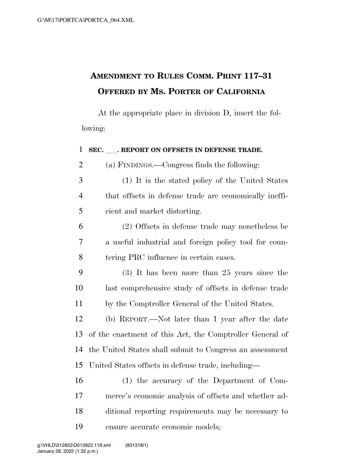## **AMENDMENT TO RULES COMM. PRINT 117–31 OFFERED BY MS. PORTER OF CALIFORNIA**

At the appropriate place in division D, insert the following:

 **SEC.** ll**. REPORT ON OFFSETS IN DEFENSE TRADE.**  (a) FINDINGS.—Congress finds the following: (1) It is the stated policy of the United States that offsets in defense trade are economically ineffi- cient and market distorting. (2) Offsets in defense trade may nonetheless be a useful industrial and foreign policy tool for coun- tering PRC influence in certain cases. (3) It has been more than 25 years since the last comprehensive study of offsets in defense trade by the Comptroller General of the United States. (b) REPORT.—Not later than 1 year after the date of the enactment of this Act, the Comptroller General of the United States shall submit to Congress an assessment United States offsets in defense trade, including— (1) the accuracy of the Department of Com- merce's economic analysis of offsets and whether ad- ditional reporting requirements may be necessary to ensure accurate economic models;